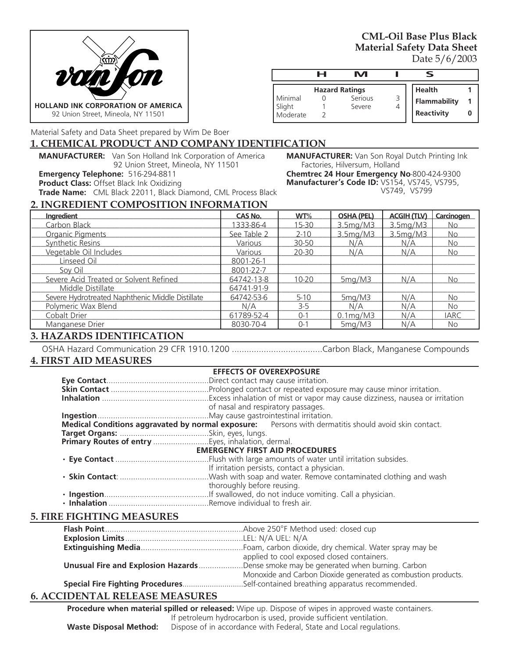

**CML-Oil Base Plus Black Material Safety Data Sheet** Date 5/6/2003

|                    | н | M                     |                   |  |
|--------------------|---|-----------------------|-------------------|--|
|                    |   | <b>Hazard Ratings</b> | <b>Health</b>     |  |
| Minimal            |   | Serious               | Flammability      |  |
| Slight<br>Moderate |   | Severe                | <b>Reactivity</b> |  |
|                    |   |                       |                   |  |

**MANUFACTURER:** Van Son Royal Dutch Printing Ink

VS749, VS799

**Chemtrec 24 Hour Emergency No**-800-424-9300 **Manufacturer's Code ID:** VS154, VS745, VS795,

Factories, Hilversum, Holland

Material Safety and Data Sheet prepared by Wim De Boer

#### **1. CHEMICAL PRODUCT AND COMPANY IDENTIFICATION**

**MANUFACTURER:** Van Son Holland Ink Corporation of America 92 Union Street, Mineola, NY 11501

**Emergency Telephone:** 516-294-8811

**Product Class:** Offset Black Ink Oxidizing

**Trade Name:** CML Black 22011, Black Diamond, CML Process Black

**2. INGREDIENT COMPOSITION INFORMATION**

| <b>Ingredient</b>                                | <b>CAS No.</b> | WT%       | <b>OSHA (PEL)</b>          | <b>ACGIH (TLV)</b> | Carcinogen  |
|--------------------------------------------------|----------------|-----------|----------------------------|--------------------|-------------|
| Carbon Black                                     | 1333-86-4      | $15 - 30$ | 3.5mg/M3                   | 3.5mg/M3           | No          |
| Organic Pigments                                 | See Table 2    | $2 - 10$  | 3.5mg/M3                   | 3.5mg/M3           | <b>No</b>   |
| <b>Synthetic Resins</b>                          | Various        | 30-50     | N/A                        | N/A                | <b>No</b>   |
| Vegetable Oil Includes                           | Various        | 20-30     | N/A                        | N/A                | <b>No</b>   |
| Linseed Oil                                      | 8001-26-1      |           |                            |                    |             |
| Sov Oil                                          | 8001-22-7      |           |                            |                    |             |
| Severe Acid Treated or Solvent Refined           | 64742-13-8     | $10 - 20$ | 5mg/M3                     | N/A                | <b>No</b>   |
| Middle Distillate                                | 64741-91-9     |           |                            |                    |             |
| Severe Hydrotreated Naphthenic Middle Distillate | 64742-53-6     | $5-10$    | 5mg/M3                     | N/A                | <b>No</b>   |
| Polymeric Wax Blend                              | N/A            | $3-5$     | N/A                        | N/A                | No.         |
| Cobalt Drier                                     | 61789-52-4     | $0 - 1$   | $0.1 \text{mg}/\text{M}$ 3 | N/A                | <b>IARC</b> |
| Manganese Drier                                  | 8030-70-4      | $0 - 1$   | 5mg/M3                     | N/A                | <b>No</b>   |

# **3. HAZARDS IDENTIFICATION**

OSHA Hazard Communication 29 CFR 1910.1200 .....................................Carbon Black, Manganese Compounds

# **4. FIRST AID MEASURES**

|                                                   |                            | <b>EFFECTS OF OVEREXPOSURE</b>                                                                       |  |
|---------------------------------------------------|----------------------------|------------------------------------------------------------------------------------------------------|--|
|                                                   |                            |                                                                                                      |  |
|                                                   |                            |                                                                                                      |  |
|                                                   |                            |                                                                                                      |  |
|                                                   |                            | of nasal and respiratory passages.                                                                   |  |
|                                                   |                            |                                                                                                      |  |
|                                                   |                            | Medical Conditions aggravated by normal exposure: Persons with dermatitis should avoid skin contact. |  |
|                                                   |                            |                                                                                                      |  |
| Primary Routes of entry Eyes, inhalation, dermal. |                            |                                                                                                      |  |
|                                                   |                            | <b>EMERGENCY FIRST AID PROCEDURES</b>                                                                |  |
|                                                   |                            |                                                                                                      |  |
|                                                   |                            | If irritation persists, contact a physician.                                                         |  |
|                                                   |                            |                                                                                                      |  |
|                                                   | thoroughly before reusing. |                                                                                                      |  |
|                                                   |                            |                                                                                                      |  |
|                                                   |                            |                                                                                                      |  |

## **5. FIRE FIGHTING MEASURES**

| applied to cool exposed closed containers.                                          |
|-------------------------------------------------------------------------------------|
| Unusual Fire and Explosion HazardsDense smoke may be generated when burning. Carbon |
| Monoxide and Carbon Dioxide generated as combustion products.                       |
| Special Fire Fighting ProceduresSelf-contained breathing apparatus recommended.     |

# **6. ACCIDENTAL RELEASE MEASURES**

**Procedure when material spilled or released:** Wipe up. Dispose of wipes in approved waste containers. If petroleum hydrocarbon is used, provide sufficient ventilation. **Waste Disposal Method:** Dispose of in accordance with Federal, State and Local regulations.